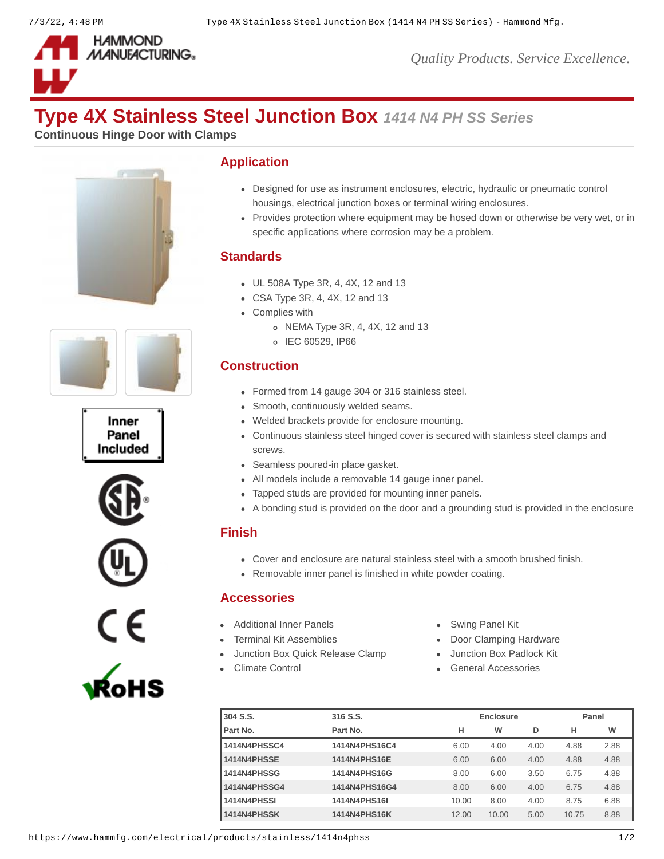

# **Type 4X Stainless Steel Junction Box** *1414 N4 PH SS Series*

**Continuous Hinge Door with Clamps**













# **Application**

- Designed for use as instrument enclosures, electric, hydraulic or pneumatic control housings, electrical junction boxes or terminal wiring enclosures.
- Provides protection where equipment may be hosed down or otherwise be very wet, or in specific applications where corrosion may be a problem.

# **Standards**

- UL 508A Type 3R, 4, 4X, 12 and 13
- CSA Type 3R, 4, 4X, 12 and 13
- Complies with
	- NEMA Type 3R, 4, 4X, 12 and 13
	- o IEC 60529, IP66

### **Construction**

- Formed from 14 gauge 304 or 316 stainless steel.
- Smooth, continuously welded seams.
- Welded brackets provide for enclosure mounting.
- Continuous stainless steel hinged cover is secured with stainless steel clamps and screws.
- Seamless poured-in place gasket.
- All models include a removable 14 gauge inner panel.
- Tapped studs are provided for mounting inner panels.
- A bonding stud is provided on the door and a grounding stud is provided in the enclosure

#### **Finish**

- Cover and enclosure are natural stainless steel with a smooth brushed finish.
- Removable inner panel is finished in white powder coating.

# **Accessories**

- [Additional Inner Panels](https://www.hammfg.com/electrical/products/accessories/14p?referer=110&itm_type=accessory) **[Swing Panel Kit](https://www.hammfg.com/electrical/products/accessories/spk?referer=110&itm_type=accessory) Swing Panel Kit**
- 
- [Junction Box Quick Release Clamp](https://www.hammfg.com/electrical/products/accessories/14qr?referer=110&itm_type=accessory) [Junction Box Padlock Kit](https://www.hammfg.com/electrical/products/accessories/14plk?referer=110&itm_type=accessory)
- 
- 
- [Terminal Kit Assemblies](https://www.hammfg.com/electrical/products/accessories/14tk?referer=110&itm_type=accessory) **[Door Clamping Hardware](https://www.hammfg.com/electrical/products/accessories/1481c?referer=110&itm_type=accessory)** 
	-
- [Climate Control](https://www.hammfg.com/electrical/products/climate?referer=110&itm_type=accessory) **[General Accessories](https://www.hammfg.com/electrical/products/accessories?referer=110&itm_type=accessory)**

| 304 S.S.     | 316 S.S.      |       | Enclosure |      |       | Panel |  |
|--------------|---------------|-------|-----------|------|-------|-------|--|
| Part No.     | Part No.      | н     | w         | D    | н     | w     |  |
| 1414N4PHSSC4 | 1414N4PHS16C4 | 6.00  | 4.00      | 4.00 | 4.88  | 2.88  |  |
| 1414N4PHSSE  | 1414N4PHS16E  | 6.00  | 6.00      | 4.00 | 4.88  | 4.88  |  |
| 1414N4PHSSG  | 1414N4PHS16G  | 8.00  | 6.00      | 3.50 | 6.75  | 4.88  |  |
| 1414N4PHSSG4 | 1414N4PHS16G4 | 8.00  | 6.00      | 4.00 | 6.75  | 4.88  |  |
| 1414N4PHSSI  | 1414N4PHS16I  | 10.00 | 8.00      | 4.00 | 8.75  | 6.88  |  |
| 1414N4PHSSK  | 1414N4PHS16K  | 12.00 | 10.00     | 5.00 | 10.75 | 8.88  |  |